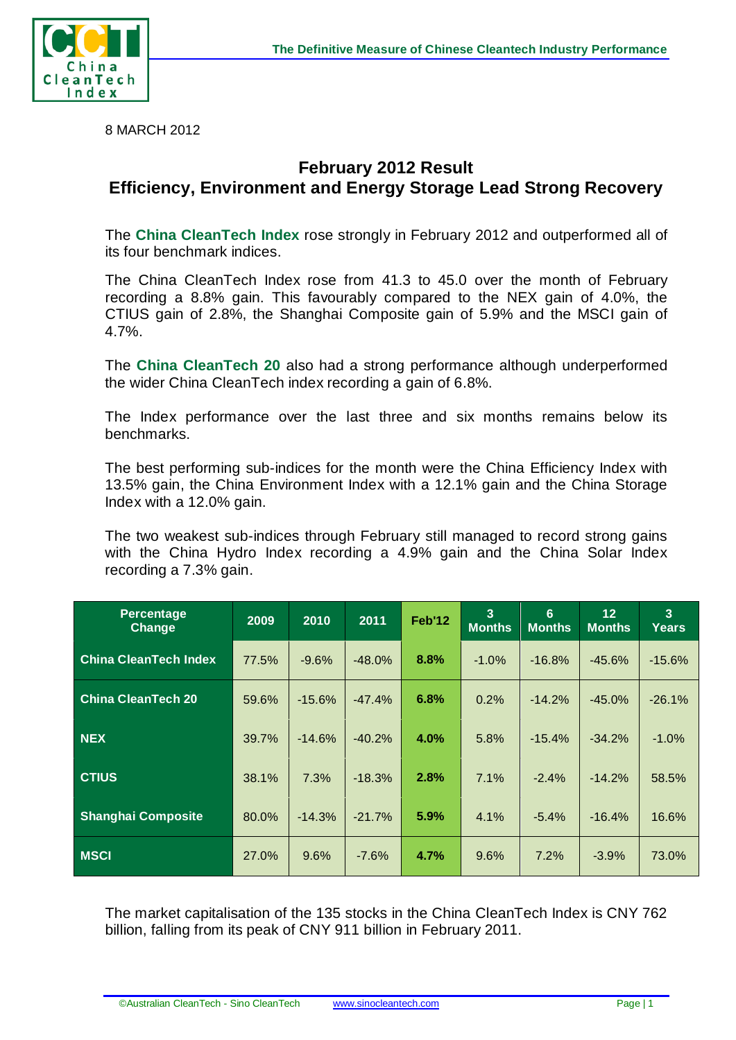



8 MARCH 2012

## **February 2012 Result Efficiency, Environment and Energy Storage Lead Strong Recovery**

The **China CleanTech Index** rose strongly in February 2012 and outperformed all of its four benchmark indices.

The China CleanTech Index rose from 41.3 to 45.0 over the month of February recording a 8.8% gain. This favourably compared to the NEX gain of 4.0%, the CTIUS gain of 2.8%, the Shanghai Composite gain of 5.9% and the MSCI gain of 4.7%.

The **China CleanTech 20** also had a strong performance although underperformed the wider China CleanTech index recording a gain of 6.8%.

The Index performance over the last three and six months remains below its benchmarks.

The best performing sub-indices for the month were the China Efficiency Index with 13.5% gain, the China Environment Index with a 12.1% gain and the China Storage Index with a 12.0% gain.

The two weakest sub-indices through February still managed to record strong gains with the China Hydro Index recording a 4.9% gain and the China Solar Index recording a 7.3% gain.

| <b>Percentage</b><br><b>Change</b> | 2009  | 2010     | 2011     | Feb'12  | 3<br><b>Months</b> | 6<br><b>Months</b> | 12 <sub>2</sub><br><b>Months</b> | 3<br><b>Years</b> |
|------------------------------------|-------|----------|----------|---------|--------------------|--------------------|----------------------------------|-------------------|
| <b>China CleanTech Index</b>       | 77.5% | $-9.6%$  | $-48.0%$ | 8.8%    | $-1.0%$            | $-16.8%$           | $-45.6%$                         | $-15.6%$          |
| <b>China CleanTech 20</b>          | 59.6% | $-15.6%$ | $-47.4%$ | 6.8%    | 0.2%               | $-14.2%$           | $-45.0%$                         | $-26.1%$          |
| <b>NEX</b>                         | 39.7% | $-14.6%$ | $-40.2%$ | $4.0\%$ | 5.8%               | $-15.4%$           | $-34.2%$                         | $-1.0\%$          |
| <b>CTIUS</b>                       | 38.1% | 7.3%     | $-18.3%$ | 2.8%    | 7.1%               | $-2.4%$            | $-14.2%$                         | 58.5%             |
| <b>Shanghai Composite</b>          | 80.0% | $-14.3%$ | $-21.7%$ | 5.9%    | 4.1%               | $-5.4%$            | $-16.4%$                         | 16.6%             |
| <b>MSCI</b>                        | 27.0% | 9.6%     | $-7.6%$  | 4.7%    | 9.6%               | 7.2%               | $-3.9%$                          | 73.0%             |

The market capitalisation of the 135 stocks in the China CleanTech Index is CNY 762 billion, falling from its peak of CNY 911 billion in February 2011.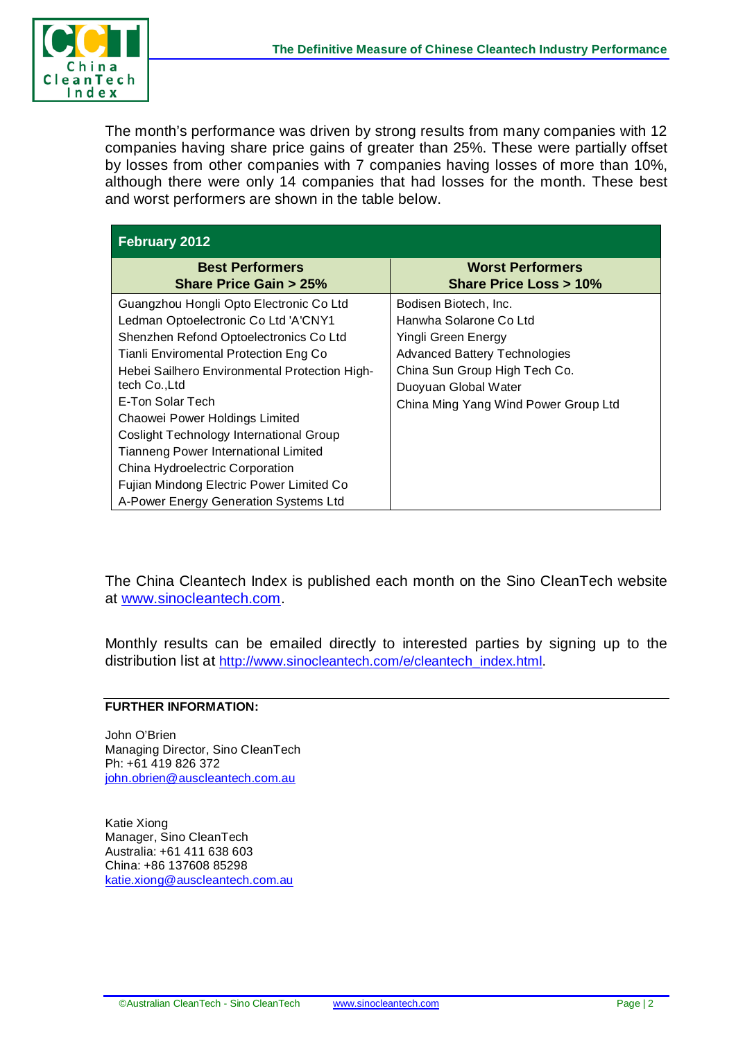

The month's performance was driven by strong results from many companies with 12 companies having share price gains of greater than 25%. These were partially offset by losses from other companies with 7 companies having losses of more than 10%, although there were only 14 companies that had losses for the month. These best and worst performers are shown in the table below.

| February 2012                                                                                                                                                                                                                                                                                                                                                                                                    |                                                                                                                                                                                                                 |  |  |  |  |  |
|------------------------------------------------------------------------------------------------------------------------------------------------------------------------------------------------------------------------------------------------------------------------------------------------------------------------------------------------------------------------------------------------------------------|-----------------------------------------------------------------------------------------------------------------------------------------------------------------------------------------------------------------|--|--|--|--|--|
| <b>Best Performers</b><br><b>Share Price Gain &gt; 25%</b>                                                                                                                                                                                                                                                                                                                                                       | <b>Worst Performers</b><br><b>Share Price Loss &gt; 10%</b>                                                                                                                                                     |  |  |  |  |  |
| Guangzhou Hongli Opto Electronic Co Ltd<br>Ledman Optoelectronic Co Ltd 'A'CNY1<br>Shenzhen Refond Optoelectronics Co Ltd<br>Tianli Enviromental Protection Eng Co<br>Hebei Sailhero Environmental Protection High-<br>tech Co., Ltd<br>E-Ton Solar Tech<br>Chaowei Power Holdings Limited<br>Coslight Technology International Group<br>Tianneng Power International Limited<br>China Hydroelectric Corporation | Bodisen Biotech, Inc.<br>Hanwha Solarone Co Ltd<br>Yingli Green Energy<br><b>Advanced Battery Technologies</b><br>China Sun Group High Tech Co.<br>Duoyuan Global Water<br>China Ming Yang Wind Power Group Ltd |  |  |  |  |  |
| Fujian Mindong Electric Power Limited Co<br>A-Power Energy Generation Systems Ltd                                                                                                                                                                                                                                                                                                                                |                                                                                                                                                                                                                 |  |  |  |  |  |

The China Cleantech Index is published each month on the Sino CleanTech website at [www.sinocleantech.com.](http://www.sinocleantech.com/)

Monthly results can be emailed directly to interested parties by signing up to the distribution list at [http://www.sinocleantech.com/e/cleantech\\_index.html.](http://www.sinocleantech.com/e/cleantech_index.html)

## **FURTHER INFORMATION:**

John O'Brien Managing Director, Sino CleanTech Ph: +61 419 826 372 [john.obrien@auscleantech.com.au](mailto:john.obrien@auscleantech.com.au)

Katie Xiong Manager, Sino CleanTech Australia: +61 411 638 603 China: +86 137608 85298 [katie.xiong@auscleantech.com.au](mailto:katie.xiong@auscleantech.com.au)